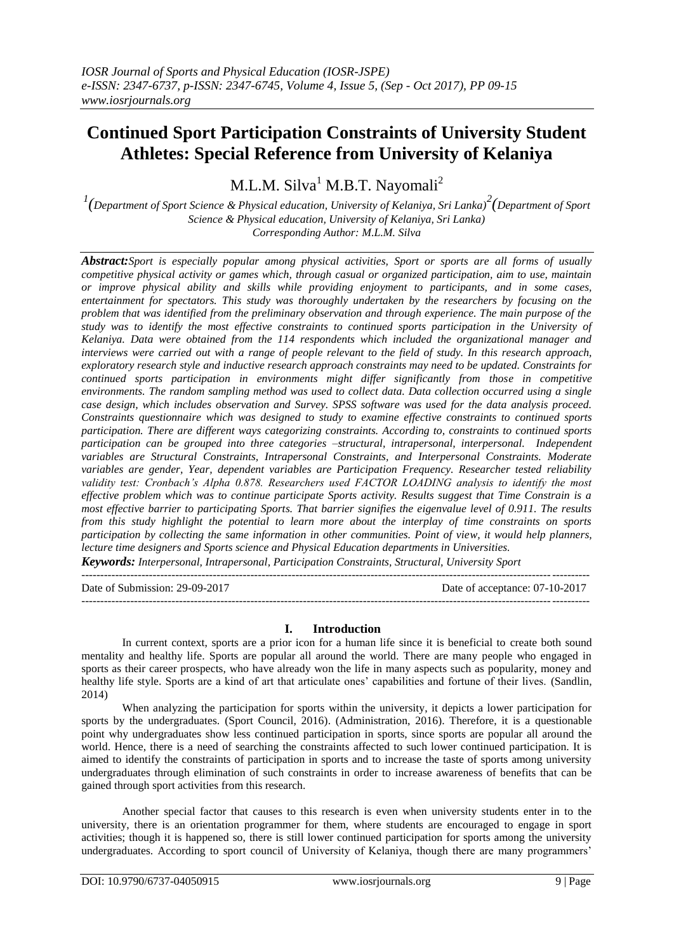# **Continued Sport Participation Constraints of University Student Athletes: Special Reference from University of Kelaniya**

M.L.M. Silva<sup>1</sup> M.B.T. Nayomali<sup>2</sup>

*1 (Department of Sport Science & Physical education, University of Kelaniya, Sri Lanka)<sup>2</sup> (Department of Sport Science & Physical education, University of Kelaniya, Sri Lanka) Corresponding Author: M.L.M. Silva*

*Abstract:Sport is especially popular among physical activities, Sport or sports are all forms of usually competitive physical activity or games which, through casual or organized participation, aim to use, maintain or improve physical ability and skills while providing enjoyment to participants, and in some cases, entertainment for spectators. This study was thoroughly undertaken by the researchers by focusing on the problem that was identified from the preliminary observation and through experience. The main purpose of the study was to identify the most effective constraints to continued sports participation in the University of Kelaniya. Data were obtained from the 114 respondents which included the organizational manager and interviews were carried out with a range of people relevant to the field of study. In this research approach, exploratory research style and inductive research approach constraints may need to be updated. Constraints for continued sports participation in environments might differ significantly from those in competitive environments. The random sampling method was used to collect data. Data collection occurred using a single case design, which includes observation and Survey. SPSS software was used for the data analysis proceed. Constraints questionnaire which was designed to study to examine effective constraints to continued sports participation. There are different ways categorizing constraints. According to, constraints to continued sports participation can be grouped into three categories –structural, intrapersonal, interpersonal. Independent variables are Structural Constraints, Intrapersonal Constraints, and Interpersonal Constraints. Moderate variables are gender, Year, dependent variables are Participation Frequency. Researcher tested reliability validity test: Cronbach's Alpha 0.878. Researchers used FACTOR LOADING analysis to identify the most effective problem which was to continue participate Sports activity. Results suggest that Time Constrain is a most effective barrier to participating Sports. That barrier signifies the eigenvalue level of 0.911. The results from this study highlight the potential to learn more about the interplay of time constraints on sports participation by collecting the same information in other communities. Point of view, it would help planners, lecture time designers and Sports science and Physical Education departments in Universities.*

*Keywords: Interpersonal, Intrapersonal, Participation Constraints, Structural, University Sport* 

---------------------------------------------------------------------------------------------------------------------------------------

Date of Submission: 29-09-2017 Date of acceptance: 07-10-2017 ---------------------------------------------------------------------------------------------------------------------------------------

# **I. Introduction**

In current context, sports are a prior icon for a human life since it is beneficial to create both sound mentality and healthy life. Sports are popular all around the world. There are many people who engaged in sports as their career prospects, who have already won the life in many aspects such as popularity, money and healthy life style. Sports are a kind of art that articulate ones' capabilities and fortune of their lives. (Sandlin, 2014)

When analyzing the participation for sports within the university, it depicts a lower participation for sports by the undergraduates. (Sport Council, 2016). (Administration, 2016). Therefore, it is a questionable point why undergraduates show less continued participation in sports, since sports are popular all around the world. Hence, there is a need of searching the constraints affected to such lower continued participation. It is aimed to identify the constraints of participation in sports and to increase the taste of sports among university undergraduates through elimination of such constraints in order to increase awareness of benefits that can be gained through sport activities from this research.

Another special factor that causes to this research is even when university students enter in to the university, there is an orientation programmer for them, where students are encouraged to engage in sport activities; though it is happened so, there is still lower continued participation for sports among the university undergraduates. According to sport council of University of Kelaniya, though there are many programmers'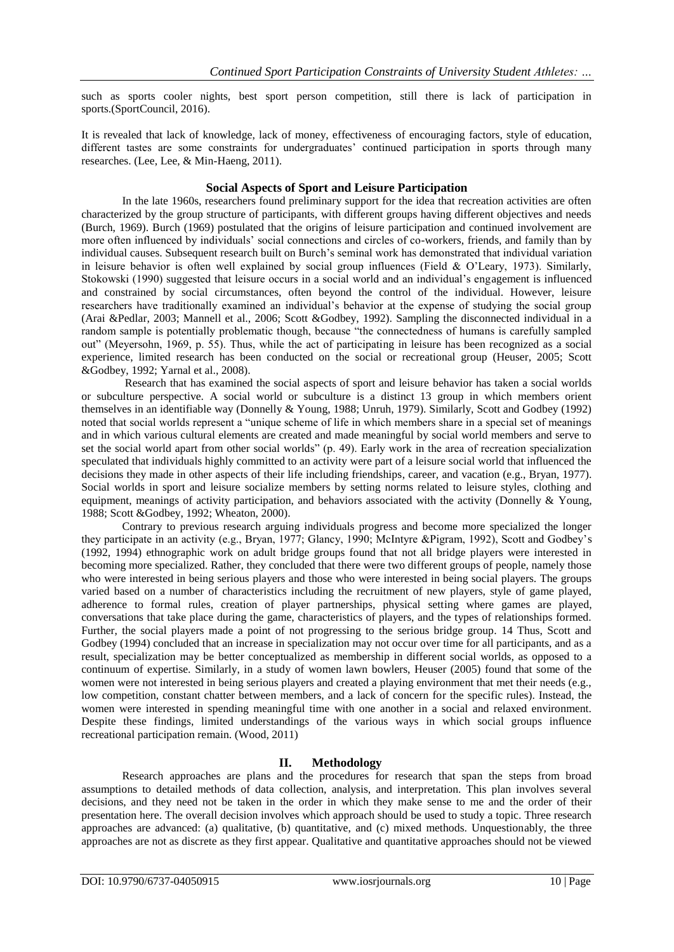such as sports cooler nights, best sport person competition, still there is lack of participation in sports.(SportCouncil, 2016).

It is revealed that lack of knowledge, lack of money, effectiveness of encouraging factors, style of education, different tastes are some constraints for undergraduates' continued participation in sports through many researches. (Lee, Lee, & Min-Haeng, 2011).

## **Social Aspects of Sport and Leisure Participation**

In the late 1960s, researchers found preliminary support for the idea that recreation activities are often characterized by the group structure of participants, with different groups having different objectives and needs (Burch, 1969). Burch (1969) postulated that the origins of leisure participation and continued involvement are more often influenced by individuals' social connections and circles of co-workers, friends, and family than by individual causes. Subsequent research built on Burch's seminal work has demonstrated that individual variation in leisure behavior is often well explained by social group influences (Field & O'Leary, 1973). Similarly, Stokowski (1990) suggested that leisure occurs in a social world and an individual's engagement is influenced and constrained by social circumstances, often beyond the control of the individual. However, leisure researchers have traditionally examined an individual's behavior at the expense of studying the social group (Arai &Pedlar, 2003; Mannell et al., 2006; Scott &Godbey, 1992). Sampling the disconnected individual in a random sample is potentially problematic though, because "the connectedness of humans is carefully sampled out" (Meyersohn, 1969, p. 55). Thus, while the act of participating in leisure has been recognized as a social experience, limited research has been conducted on the social or recreational group (Heuser, 2005; Scott &Godbey, 1992; Yarnal et al., 2008).

Research that has examined the social aspects of sport and leisure behavior has taken a social worlds or subculture perspective. A social world or subculture is a distinct 13 group in which members orient themselves in an identifiable way (Donnelly & Young, 1988; Unruh, 1979). Similarly, Scott and Godbey (1992) noted that social worlds represent a "unique scheme of life in which members share in a special set of meanings and in which various cultural elements are created and made meaningful by social world members and serve to set the social world apart from other social worlds" (p. 49). Early work in the area of recreation specialization speculated that individuals highly committed to an activity were part of a leisure social world that influenced the decisions they made in other aspects of their life including friendships, career, and vacation (e.g., Bryan, 1977). Social worlds in sport and leisure socialize members by setting norms related to leisure styles, clothing and equipment, meanings of activity participation, and behaviors associated with the activity (Donnelly & Young, 1988; Scott &Godbey, 1992; Wheaton, 2000).

Contrary to previous research arguing individuals progress and become more specialized the longer they participate in an activity (e.g., Bryan, 1977; Glancy, 1990; McIntyre &Pigram, 1992), Scott and Godbey's (1992, 1994) ethnographic work on adult bridge groups found that not all bridge players were interested in becoming more specialized. Rather, they concluded that there were two different groups of people, namely those who were interested in being serious players and those who were interested in being social players. The groups varied based on a number of characteristics including the recruitment of new players, style of game played, adherence to formal rules, creation of player partnerships, physical setting where games are played, conversations that take place during the game, characteristics of players, and the types of relationships formed. Further, the social players made a point of not progressing to the serious bridge group. 14 Thus, Scott and Godbey (1994) concluded that an increase in specialization may not occur over time for all participants, and as a result, specialization may be better conceptualized as membership in different social worlds, as opposed to a continuum of expertise. Similarly, in a study of women lawn bowlers, Heuser (2005) found that some of the women were not interested in being serious players and created a playing environment that met their needs (e.g., low competition, constant chatter between members, and a lack of concern for the specific rules). Instead, the women were interested in spending meaningful time with one another in a social and relaxed environment. Despite these findings, limited understandings of the various ways in which social groups influence recreational participation remain. (Wood, 2011)

# **II. Methodology**

Research approaches are plans and the procedures for research that span the steps from broad assumptions to detailed methods of data collection, analysis, and interpretation. This plan involves several decisions, and they need not be taken in the order in which they make sense to me and the order of their presentation here. The overall decision involves which approach should be used to study a topic. Three research approaches are advanced: (a) qualitative, (b) quantitative, and (c) mixed methods. Unquestionably, the three approaches are not as discrete as they first appear. Qualitative and quantitative approaches should not be viewed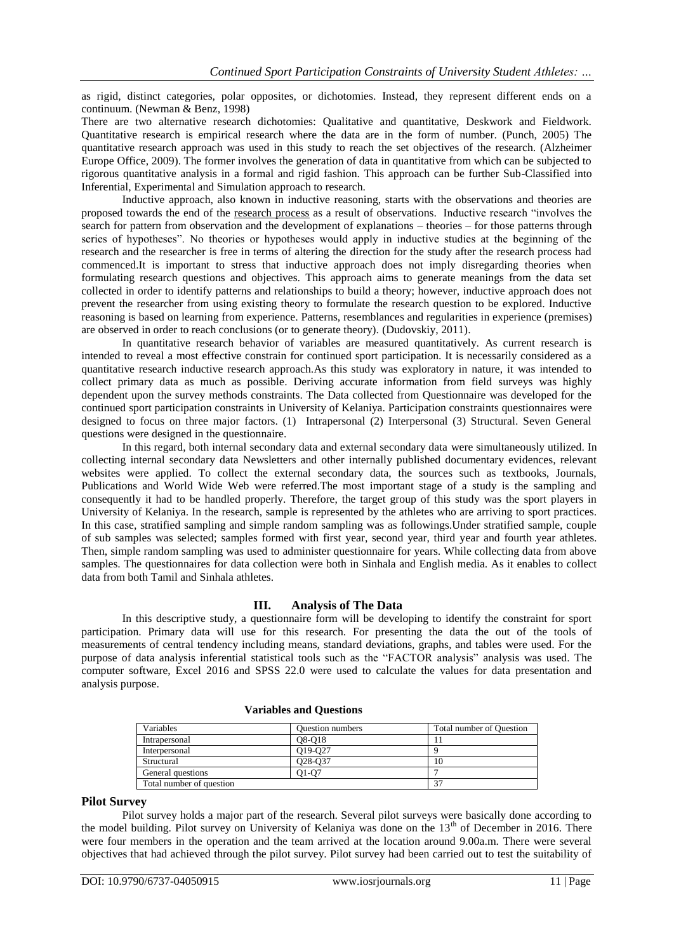as rigid, distinct categories, polar opposites, or dichotomies. Instead, they represent different ends on a continuum. (Newman & Benz, 1998)

There are two alternative research dichotomies: Qualitative and quantitative, Deskwork and Fieldwork. Quantitative research is empirical research where the data are in the form of number. (Punch, 2005) The quantitative research approach was used in this study to reach the set objectives of the research. (Alzheimer Europe Office, 2009). The former involves the generation of data in quantitative from which can be subjected to rigorous quantitative analysis in a formal and rigid fashion. This approach can be further Sub-Classified into Inferential, Experimental and Simulation approach to research.

Inductive approach, also known in inductive reasoning, starts with the observations and theories are proposed towards the end of the [research process](http://research-methodology.net/research-methodology/research-process/) as a result of observations. Inductive research "involves the search for pattern from observation and the development of explanations – theories – for those patterns through series of hypotheses". No theories or hypotheses would apply in inductive studies at the beginning of the research and the researcher is free in terms of altering the direction for the study after the research process had commenced.It is important to stress that inductive approach does not imply disregarding theories when formulating research questions and objectives. This approach aims to generate meanings from the data set collected in order to identify patterns and relationships to build a theory; however, inductive approach does not prevent the researcher from using existing theory to formulate the research question to be explored. Inductive reasoning is based on learning from experience. Patterns, resemblances and regularities in experience (premises) are observed in order to reach conclusions (or to generate theory). (Dudovskiy, 2011).

In quantitative research behavior of variables are measured quantitatively. As current research is intended to reveal a most effective constrain for continued sport participation. It is necessarily considered as a quantitative research inductive research approach.As this study was exploratory in nature, it was intended to collect primary data as much as possible. Deriving accurate information from field surveys was highly dependent upon the survey methods constraints. The Data collected from Questionnaire was developed for the continued sport participation constraints in University of Kelaniya. Participation constraints questionnaires were designed to focus on three major factors. (1) Intrapersonal (2) Interpersonal (3) Structural. Seven General questions were designed in the questionnaire.

In this regard, both internal secondary data and external secondary data were simultaneously utilized. In collecting internal secondary data Newsletters and other internally published documentary evidences, relevant websites were applied. To collect the external secondary data, the sources such as textbooks, Journals, Publications and World Wide Web were referred.The most important stage of a study is the sampling and consequently it had to be handled properly. Therefore, the target group of this study was the sport players in University of Kelaniya. In the research, sample is represented by the athletes who are arriving to sport practices. In this case, stratified sampling and simple random sampling was as followings.Under stratified sample, couple of sub samples was selected; samples formed with first year, second year, third year and fourth year athletes. Then, simple random sampling was used to administer questionnaire for years. While collecting data from above samples. The questionnaires for data collection were both in Sinhala and English media. As it enables to collect data from both Tamil and Sinhala athletes.

# **III. Analysis of The Data**

In this descriptive study, a questionnaire form will be developing to identify the constraint for sport participation. Primary data will use for this research. For presenting the data the out of the tools of measurements of central tendency including means, standard deviations, graphs, and tables were used. For the purpose of data analysis inferential statistical tools such as the "FACTOR analysis" analysis was used. The computer software, Excel 2016 and SPSS 22.0 were used to calculate the values for data presentation and analysis purpose.

| Variables                | <b>Ouestion numbers</b>          | Total number of Question |
|--------------------------|----------------------------------|--------------------------|
| Intrapersonal            | O8-O18                           |                          |
| Interpersonal            | O <sub>19</sub> -O <sub>27</sub> |                          |
| Structural               | Q <sub>2</sub> 8-Q <sub>37</sub> | 10                       |
| General questions        | 01-07                            |                          |
| Total number of question |                                  | 37                       |

### **Variables and Questions**

#### **Pilot Survey**

Pilot survey holds a major part of the research. Several pilot surveys were basically done according to the model building. Pilot survey on University of Kelaniya was done on the  $13<sup>th</sup>$  of December in 2016. There were four members in the operation and the team arrived at the location around 9.00a.m. There were several objectives that had achieved through the pilot survey. Pilot survey had been carried out to test the suitability of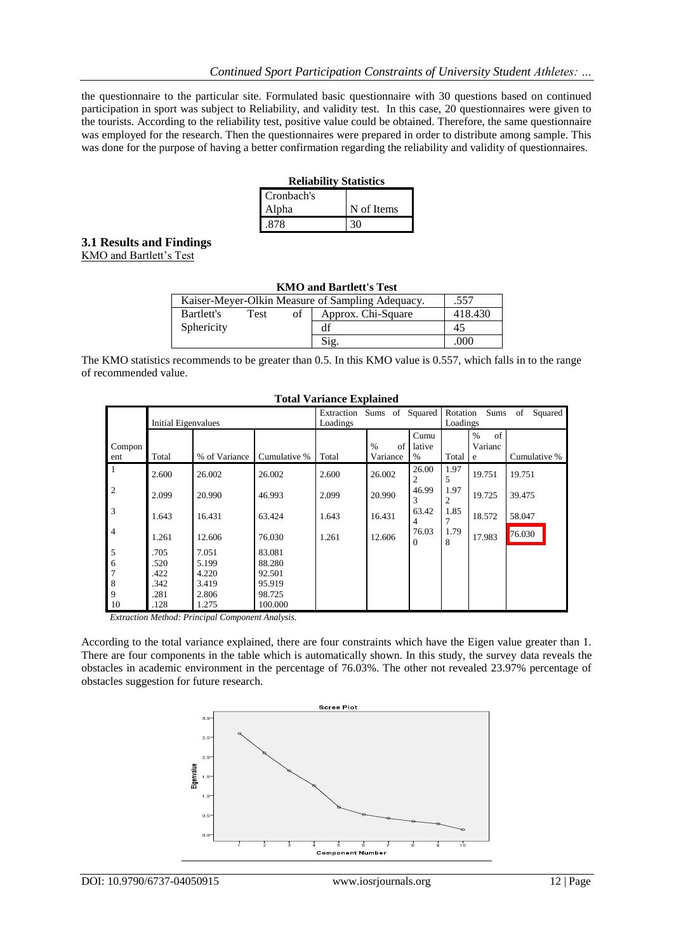the questionnaire to the particular site. Formulated basic questionnaire with 30 questions based on continued participation in sport was subject to Reliability, and validity test. In this case, 20 questionnaires were given to the tourists. According to the reliability test, positive value could be obtained. Therefore, the same questionnaire was employed for the research. Then the questionnaires were prepared in order to distribute among sample. This was done for the purpose of having a better confirmation regarding the reliability and validity of questionnaires.

| <b>Reliability Statistics</b> |            |  |  |  |
|-------------------------------|------------|--|--|--|
| Cronbach's                    |            |  |  |  |
| Alpha                         | N of Items |  |  |  |

.878 [30

# **3.1 Results and Findings**

KMO and Bartlett's Test

| <b>KMO and Bartlett's Test</b>                           |      |    |                    |         |  |
|----------------------------------------------------------|------|----|--------------------|---------|--|
| .557<br>Kaiser-Meyer-Olkin Measure of Sampling Adequacy. |      |    |                    |         |  |
| Bartlett's                                               | Test | of | Approx. Chi-Square | 418.430 |  |
| Sphericity                                               |      |    | df                 | 45      |  |
|                                                          |      |    | Sig.               | .000    |  |

The KMO statistics recommends to be greater than 0.5. In this KMO value is 0.557, which falls in to the range of recommended value.

**Total Variance Explained**

| Total Variance Explained |                            |               |              |                        |                                 |                         |                        |                            |               |
|--------------------------|----------------------------|---------------|--------------|------------------------|---------------------------------|-------------------------|------------------------|----------------------------|---------------|
|                          | <b>Initial Eigenvalues</b> |               |              | Extraction<br>Loadings | Sums of Squared                 |                         | Rotation<br>Loadings   | Sums                       | of<br>Squared |
| Compon<br>ent            | Total                      | % of Variance | Cumulative % | Total                  | $\frac{0}{0}$<br>of<br>Variance | Cumu<br>lative<br>$\%$  | Total                  | of<br>$\%$<br>Varianc<br>e | Cumulative %  |
| $\overline{1}$           | 2.600                      | 26.002        | 26.002       | 2.600                  | 26.002                          | 26.00<br>$\overline{c}$ | 1.97<br>5              | 19.751                     | 19.751        |
| $\overline{2}$           | 2.099                      | 20.990        | 46.993       | 2.099                  | 20.990                          | 46.99<br>3              | 1.97<br>$\overline{2}$ | 19.725                     | 39.475        |
| $\overline{3}$           | 1.643                      | 16.431        | 63.424       | 1.643                  | 16.431                          | 63.42<br>4              | 1.85<br>7              | 18.572                     | 58.047        |
| $\overline{4}$           | 1.261                      | 12.606        | 76.030       | 1.261                  | 12.606                          | 76.03<br>$\Omega$       | 1.79<br>8              | 17.983                     | 76.030        |
| 5                        | .705                       | 7.051         | 83.081       |                        |                                 |                         |                        |                            |               |
| 6                        | .520                       | 5.199         | 88.280       |                        |                                 |                         |                        |                            |               |
| $\overline{7}$           | .422                       | 4.220         | 92.501       |                        |                                 |                         |                        |                            |               |
| 8                        | .342                       | 3.419         | 95.919       |                        |                                 |                         |                        |                            |               |
| 9                        | .281                       | 2.806         | 98.725       |                        |                                 |                         |                        |                            |               |
| 10                       | .128                       | 1.275         | 100.000      |                        |                                 |                         |                        |                            |               |

*Extraction Method: Principal Component Analysis.*

According to the total variance explained, there are four constraints which have the Eigen value greater than 1. There are four components in the table which is automatically shown. In this study, the survey data reveals the obstacles in academic environment in the percentage of 76.03%. The other not revealed 23.97% percentage of obstacles suggestion for future research.

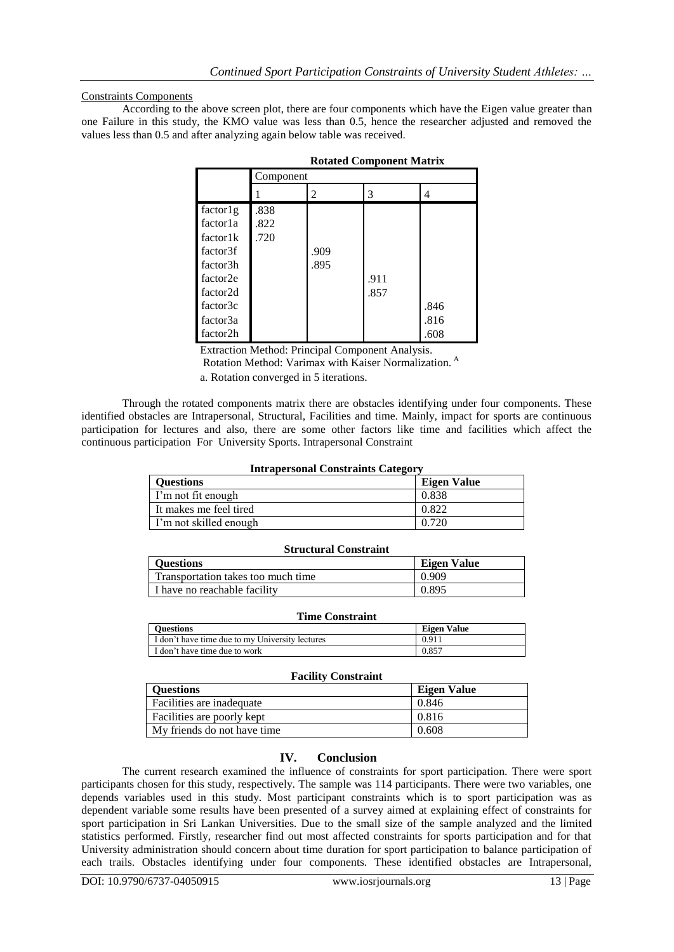## Constraints Components

According to the above screen plot, there are four components which have the Eigen value greater than one Failure in this study, the KMO value was less than 0.5, hence the researcher adjusted and removed the values less than 0.5 and after analyzing again below table was received.

|          | Component |      |      |      |
|----------|-----------|------|------|------|
|          |           | 2    | 3    | 4    |
| factor1g | .838      |      |      |      |
| factorla | .822      |      |      |      |
| factor1k | .720      |      |      |      |
| factor3f |           | .909 |      |      |
| factor3h |           | .895 |      |      |
| factor2e |           |      | .911 |      |
| factor2d |           |      | .857 |      |
| factor3c |           |      |      | .846 |
| factor3a |           |      |      | .816 |
| factor2h |           |      |      | .608 |

| <b>Rotated Component Matrix</b> |  |  |  |
|---------------------------------|--|--|--|
|---------------------------------|--|--|--|

Extraction Method: Principal Component Analysis.

Rotation Method: Varimax with Kaiser Normalization. <sup>A</sup>

a. Rotation converged in 5 iterations.

Through the rotated components matrix there are obstacles identifying under four components. These identified obstacles are Intrapersonal, Structural, Facilities and time. Mainly, impact for sports are continuous participation for lectures and also, there are some other factors like time and facilities which affect the continuous participation. For. University Sports. Intrapersonal Constraint

#### **Intrapersonal Constraints Category**

|                        | -                  |
|------------------------|--------------------|
| <b>Questions</b>       | <b>Eigen Value</b> |
| I'm not fit enough     | 0.838              |
| It makes me feel tired | 0.822              |
| I'm not skilled enough | 0.720              |
|                        |                    |

#### **Structural Constraint**

| <b>Ouestions</b>                   | Eigen Value |
|------------------------------------|-------------|
| Transportation takes too much time | 0.909       |
| I have no reachable facility       | 0.895       |

#### **Time Constraint**

| <b>Ouestions</b>                                | <b>Eigen Value</b> |
|-------------------------------------------------|--------------------|
| I don't have time due to my University lectures | 0.911              |
| I don't have time due to work                   | 0.857              |

### **Facility Constraint**

| <b>Ouestions</b>            | Eigen Value |
|-----------------------------|-------------|
| Facilities are inadequate   | 0.846       |
| Facilities are poorly kept  | 0.816       |
| My friends do not have time | 0.608       |

# **IV. Conclusion**

The current research examined the influence of constraints for sport participation. There were sport participants chosen for this study, respectively. The sample was 114 participants. There were two variables, one depends variables used in this study. Most participant constraints which is to sport participation was as dependent variable some results have been presented of a survey aimed at explaining effect of constraints for sport participation in Sri Lankan Universities. Due to the small size of the sample analyzed and the limited statistics performed. Firstly, researcher find out most affected constraints for sports participation and for that University administration should concern about time duration for sport participation to balance participation of each trails. Obstacles identifying under four components. These identified obstacles are Intrapersonal,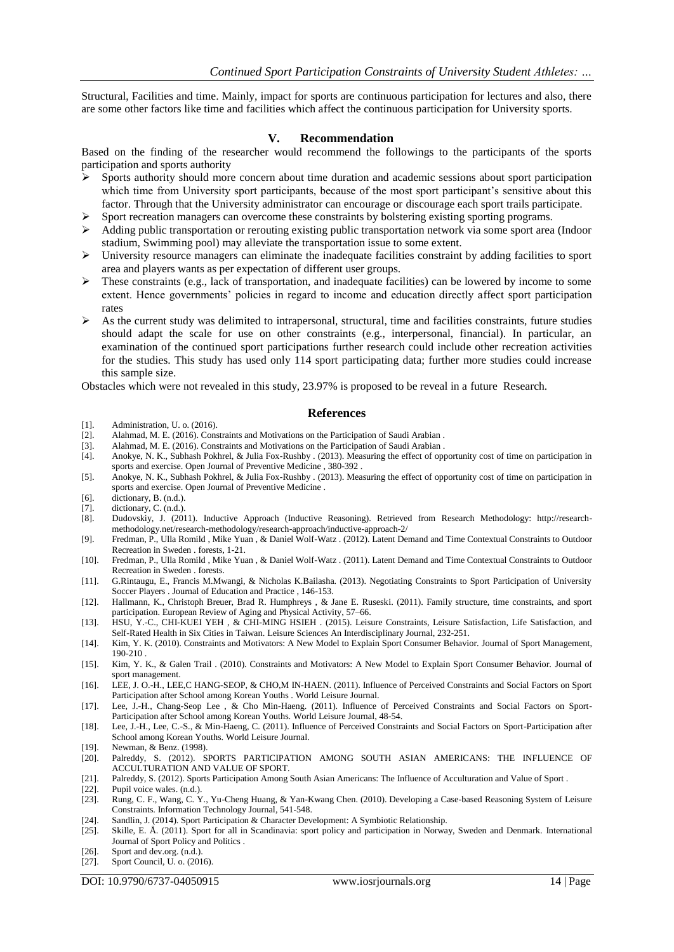Structural, Facilities and time. Mainly, impact for sports are continuous participation for lectures and also, there are some other factors like time and facilities which affect the continuous participation for University sports.

#### **V. Recommendation**

Based on the finding of the researcher would recommend the followings to the participants of the sports participation and sports authority

- Sports authority should more concern about time duration and academic sessions about sport participation which time from University sport participants, because of the most sport participant's sensitive about this factor. Through that the University administrator can encourage or discourage each sport trails participate.
- $\triangleright$  Sport recreation managers can overcome these constraints by bolstering existing sporting programs.
- Adding public transportation or rerouting existing public transportation network via some sport area (Indoor stadium, Swimming pool) may alleviate the transportation issue to some extent.
- $\triangleright$  University resource managers can eliminate the inadequate facilities constraint by adding facilities to sport area and players wants as per expectation of different user groups.
- $\triangleright$  These constraints (e.g., lack of transportation, and inadequate facilities) can be lowered by income to some extent. Hence governments' policies in regard to income and education directly affect sport participation rates
- $\triangleright$  As the current study was delimited to intrapersonal, structural, time and facilities constraints, future studies should adapt the scale for use on other constraints (e.g., interpersonal, financial). In particular, an examination of the continued sport participations further research could include other recreation activities for the studies. This study has used only 114 sport participating data; further more studies could increase this sample size.

Obstacles which were not revealed in this study, 23.97% is proposed to be reveal in a future. Research.

#### **References**

- [1]. Administration, U. o. (2016).<br>[2]. Alahmad, M. E. (2016). Cons
- [2]. Alahmad, M. E. (2016). Constraints and Motivations on the Participation of Saudi Arabian .
- [3]. Alahmad, M. E. (2016). Constraints and Motivations on the Participation of Saudi Arabian .
- [4]. Anokye, N. K., Subhash Pokhrel, & Julia Fox-Rushby . (2013). Measuring the effect of opportunity cost of time on participation in sports and exercise. Open Journal of Preventive Medicine , 380-392 .
- [5]. Anokye, N. K., Subhash Pokhrel, & Julia Fox-Rushby . (2013). Measuring the effect of opportunity cost of time on participation in sports and exercise. Open Journal of Preventive Medicine .
- [6]. dictionary, B. (n.d.).
- [7]. dictionary, C. (n.d.).<br>[8]. Dudovskiy, J. (201
- [8]. Dudovskiy, J. (2011). Inductive Approach (Inductive Reasoning). Retrieved from Research Methodology: http://researchmethodology.net/research-methodology/research-approach/inductive-approach-2/
- [9]. Fredman, P., Ulla Romild , Mike Yuan , & Daniel Wolf-Watz . (2012). Latent Demand and Time Contextual Constraints to Outdoor Recreation in Sweden . forests, 1-21.
- [10]. Fredman, P., Ulla Romild , Mike Yuan , & Daniel Wolf-Watz . (2011). Latent Demand and Time Contextual Constraints to Outdoor Recreation in Sweden . forests.
- [11]. G.Rintaugu, E., Francis M.Mwangi, & Nicholas K.Bailasha. (2013). Negotiating Constraints to Sport Participation of University Soccer Players . Journal of Education and Practice , 146-153.
- [12]. Hallmann, K., Christoph Breuer, Brad R. Humphreys , & Jane E. Ruseski. (2011). Family structure, time constraints, and sport participation. European Review of Aging and Physical Activity, 57–66.
- [13]. HSU, Y.-C., CHI-KUEI YEH , & CHI-MING HSIEH . (2015). Leisure Constraints, Leisure Satisfaction, Life Satisfaction, and Self-Rated Health in Six Cities in Taiwan. Leisure Sciences An Interdisciplinary Journal, 232-251.
- [14]. Kim, Y. K. (2010). Constraints and Motivators: A New Model to Explain Sport Consumer Behavior. Journal of Sport Management, 190-210 .
- [15]. Kim, Y. K., & Galen Trail . (2010). Constraints and Motivators: A New Model to Explain Sport Consumer Behavior. Journal of sport management.
- [16]. LEE, J. O.-H., LEE,C HANG-SEOP, & CHO,M IN-HAEN. (2011). Influence of Perceived Constraints and Social Factors on Sport Participation after School among Korean Youths . World Leisure Journal.
- [17]. Lee, J.-H., Chang-Seop Lee , & Cho Min-Haeng. (2011). Influence of Perceived Constraints and Social Factors on Sport-Participation after School among Korean Youths. World Leisure Journal, 48-54.
- [18]. Lee, J.-H., Lee, C.-S., & Min-Haeng, C. (2011). Influence of Perceived Constraints and Social Factors on Sport-Participation after School among Korean Youths. World Leisure Journal.
- [19]. Newman, & Benz. (1998).
- [20]. Palreddy, S. (2012). SPORTS PARTICIPATION AMONG SOUTH ASIAN AMERICANS: THE INFLUENCE OF ACCULTURATION AND VALUE OF SPORT.
- [21]. Palreddy, S. (2012). Sports Participation Among South Asian Americans: The Influence of Acculturation and Value of Sport .
- [22]. Pupil voice wales. (n.d.).
- [23]. Rung, C. F., Wang, C. Y., Yu-Cheng Huang, & Yan-Kwang Chen. (2010). Developing a Case-based Reasoning System of Leisure Constraints. Information Technology Journal, 541-548.
- [24]. Sandlin, J. (2014). Sport Participation & Character Development: A Symbiotic Relationship.
- [25]. Skille, E. Å. (2011). Sport for all in Scandinavia: sport policy and participation in Norway, Sweden and Denmark. International Journal of Sport Policy and Politics .
- [26]. Sport and dev.org. (n.d.).
- [27]. Sport Council, U. o. (2016).

DOI: 10.9790/6737-04050915 www.iosrjournals.org 14 | Page